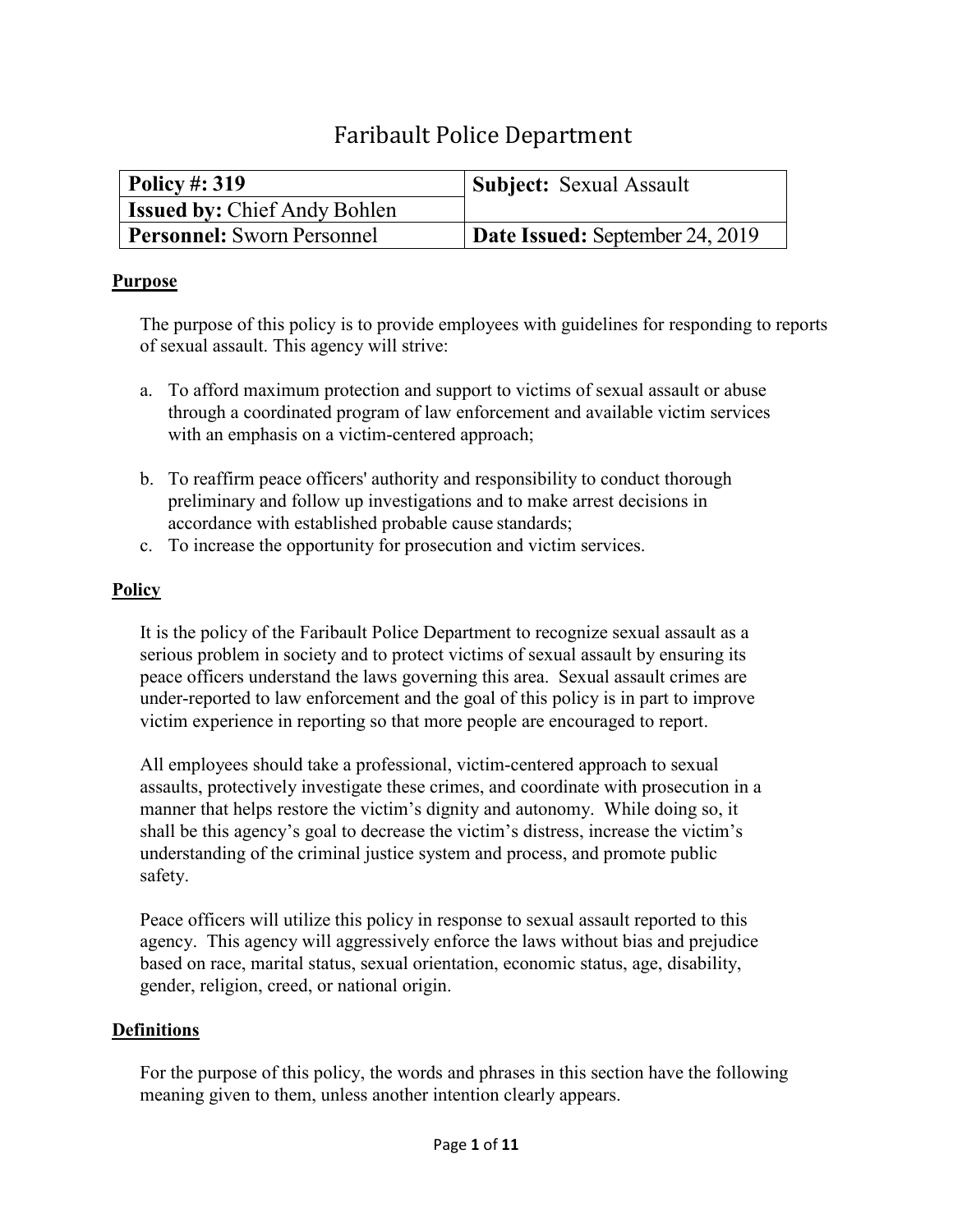# Faribault Police Department

| <b>Policy #: 319</b>                | <b>Subject:</b> Sexual Assault         |
|-------------------------------------|----------------------------------------|
| <b>Issued by: Chief Andy Bohlen</b> |                                        |
| <b>Personnel:</b> Sworn Personnel   | <b>Date Issued:</b> September 24, 2019 |

## **Purpose**

The purpose of this policy is to provide employees with guidelines for responding to reports of sexual assault. This agency will strive:

- a. To afford maximum protection and support to victims of sexual assault or abuse through a coordinated program of law enforcement and available victim services with an emphasis on a victim-centered approach;
- b. To reaffirm peace officers' authority and responsibility to conduct thorough preliminary and follow up investigations and to make arrest decisions in accordance with established probable cause standards;
- c. To increase the opportunity for prosecution and victim services.

## **Policy**

It is the policy of the Faribault Police Department to recognize sexual assault as a serious problem in society and to protect victims of sexual assault by ensuring its peace officers understand the laws governing this area. Sexual assault crimes are under-reported to law enforcement and the goal of this policy is in part to improve victim experience in reporting so that more people are encouraged to report.

All employees should take a professional, victim-centered approach to sexual assaults, protectively investigate these crimes, and coordinate with prosecution in a manner that helps restore the victim's dignity and autonomy. While doing so, it shall be this agency's goal to decrease the victim's distress, increase the victim's understanding of the criminal justice system and process, and promote public safety.

Peace officers will utilize this policy in response to sexual assault reported to this agency. This agency will aggressively enforce the laws without bias and prejudice based on race, marital status, sexual orientation, economic status, age, disability, gender, religion, creed, or national origin.

### **Definitions**

For the purpose of this policy, the words and phrases in this section have the following meaning given to them, unless another intention clearly appears.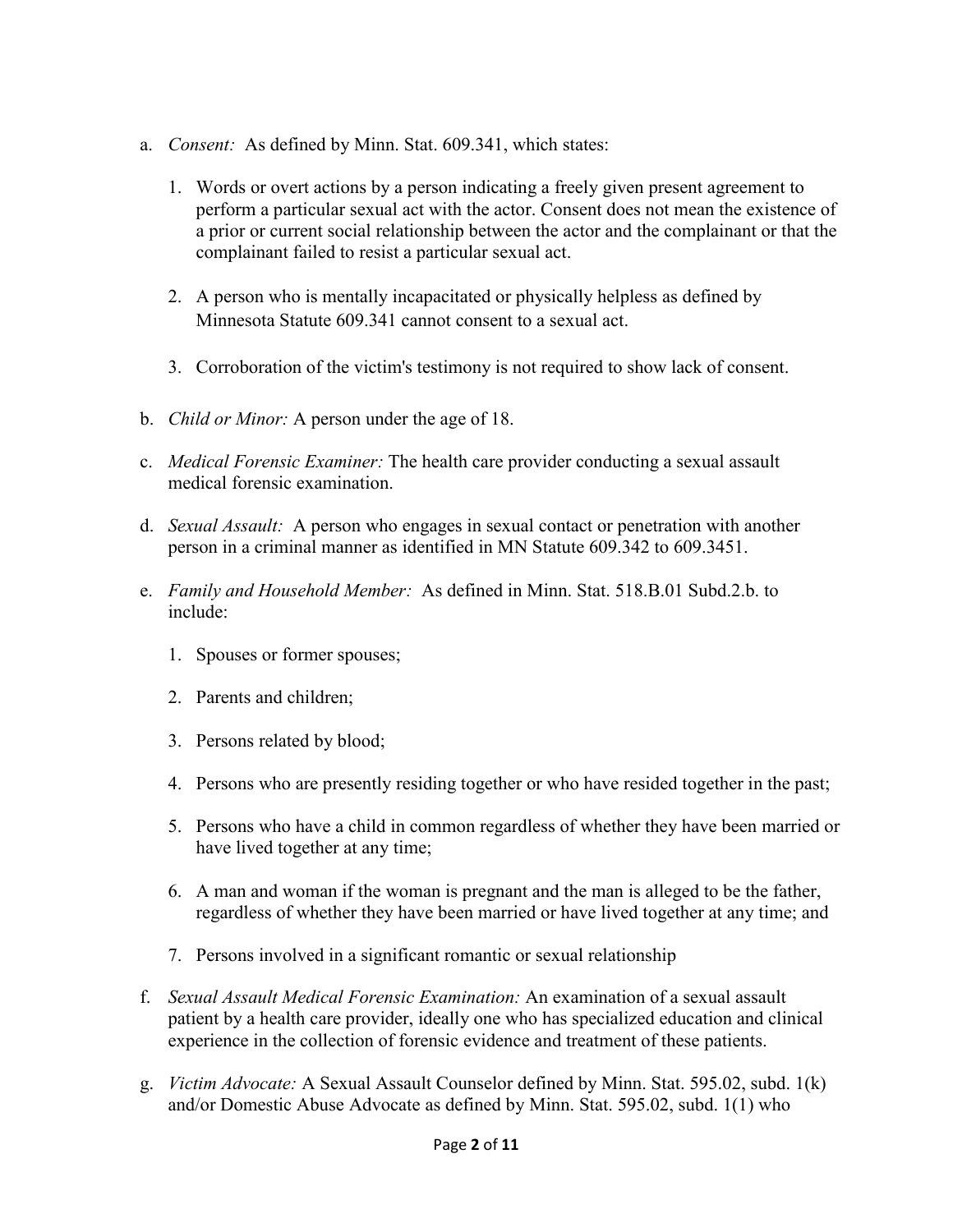- a. *Consent:* As defined by Minn. Stat. 609.341, which states:
	- 1. Words or overt actions by a person indicating a freely given present agreement to perform a particular sexual act with the actor. Consent does not mean the existence of a prior or current social relationship between the actor and the complainant or that the complainant failed to resist a particular sexual act.
	- 2. A person who is mentally incapacitated or physically helpless as defined by Minnesota Statute 609.341 cannot consent to a sexual act.
	- 3. Corroboration of the victim's testimony is not required to show lack of consent.
- b. *Child or Minor:* A person under the age of 18.
- c. *Medical Forensic Examiner:* The health care provider conducting a sexual assault medical forensic examination.
- d. *Sexual Assault:* A person who engages in sexual contact or penetration with another person in a criminal manner as identified in MN Statute 609.342 to 609.3451.
- e. *Family and Household Member:* As defined in Minn. Stat. 518.B.01 Subd.2.b. to include:
	- 1. Spouses or former spouses;
	- 2. Parents and children;
	- 3. Persons related by blood;
	- 4. Persons who are presently residing together or who have resided together in the past;
	- 5. Persons who have a child in common regardless of whether they have been married or have lived together at any time;
	- 6. A man and woman if the woman is pregnant and the man is alleged to be the father, regardless of whether they have been married or have lived together at any time; and
	- 7. Persons involved in a significant romantic or sexual relationship
- f. *Sexual Assault Medical Forensic Examination:* An examination of a sexual assault patient by a health care provider, ideally one who has specialized education and clinical experience in the collection of forensic evidence and treatment of these patients.
- g. *Victim Advocate:* A Sexual Assault Counselor defined by Minn. Stat. 595.02, subd. 1(k) and/or Domestic Abuse Advocate as defined by Minn. Stat. 595.02, subd. 1(1) who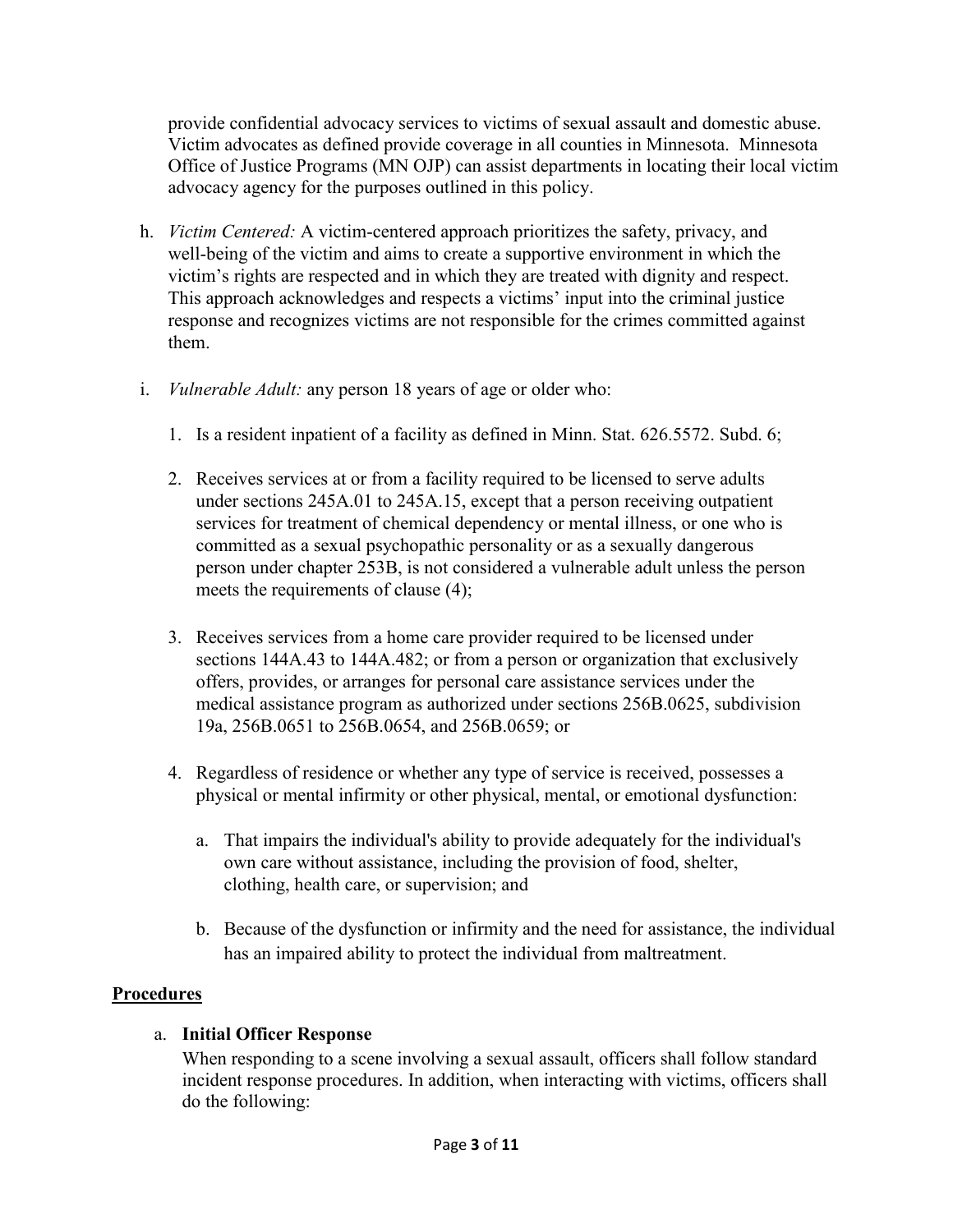provide confidential advocacy services to victims of sexual assault and domestic abuse. Victim advocates as defined provide coverage in all counties in Minnesota. Minnesota Office of Justice Programs (MN OJP) can assist departments in locating their local victim advocacy agency for the purposes outlined in this policy.

- h. *Victim Centered:* A victim-centered approach prioritizes the safety, privacy, and well-being of the victim and aims to create a supportive environment in which the victim's rights are respected and in which they are treated with dignity and respect. This approach acknowledges and respects a victims' input into the criminal justice response and recognizes victims are not responsible for the crimes committed against them.
- i. *Vulnerable Adult:* any person 18 years of age or older who:
	- 1. Is a resident inpatient of a facility as defined in Minn. Stat. 626.5572. Subd. 6;
	- 2. Receives services at or from a facility required to be licensed to serve adults under sections [245A.01](https://www.revisor.mn.gov/statutes/cite/245A.01) to [245A.15,](https://www.revisor.mn.gov/statutes/cite/245A.15) except that a person receiving outpatient services for treatment of chemical dependency or mental illness, or one who is committed as a sexual psychopathic personality or as a sexually dangerous person under chapter 253B, is not considered a vulnerable adult unless the person meets the requirements of clause (4);
	- 3. Receives services from a home care provider required to be licensed under sections [144A.43](https://www.revisor.mn.gov/statutes/cite/144A.43) to [144A.482;](https://www.revisor.mn.gov/statutes/cite/144A.482) or from a person or organization that exclusively offers, provides, or arranges for personal care assistance services under the medical assistance program as authorized under sections [256B.0625, subdivision](https://www.revisor.mn.gov/statutes/cite/256B.0625#stat.256B.0625.19a)  [19a,](https://www.revisor.mn.gov/statutes/cite/256B.0625#stat.256B.0625.19a) [256B.0651](https://www.revisor.mn.gov/statutes/cite/256B.0651) to [256B.0654,](https://www.revisor.mn.gov/statutes/cite/256B.0654) and [256B.0659;](https://www.revisor.mn.gov/statutes/cite/256B.0659) or
	- 4. Regardless of residence or whether any type of service is received, possesses a physical or mental infirmity or other physical, mental, or emotional dysfunction:
		- a. That impairs the individual's ability to provide adequately for the individual's own care without assistance, including the provision of food, shelter, clothing, health care, or supervision; and
		- b. Because of the dysfunction or infirmity and the need for assistance, the individual has an impaired ability to protect the individual from maltreatment.

# **Procedures**

### a. **Initial Officer Response**

When responding to a scene involving a sexual assault, officers shall follow standard incident response procedures. In addition, when interacting with victims, officers shall do the following: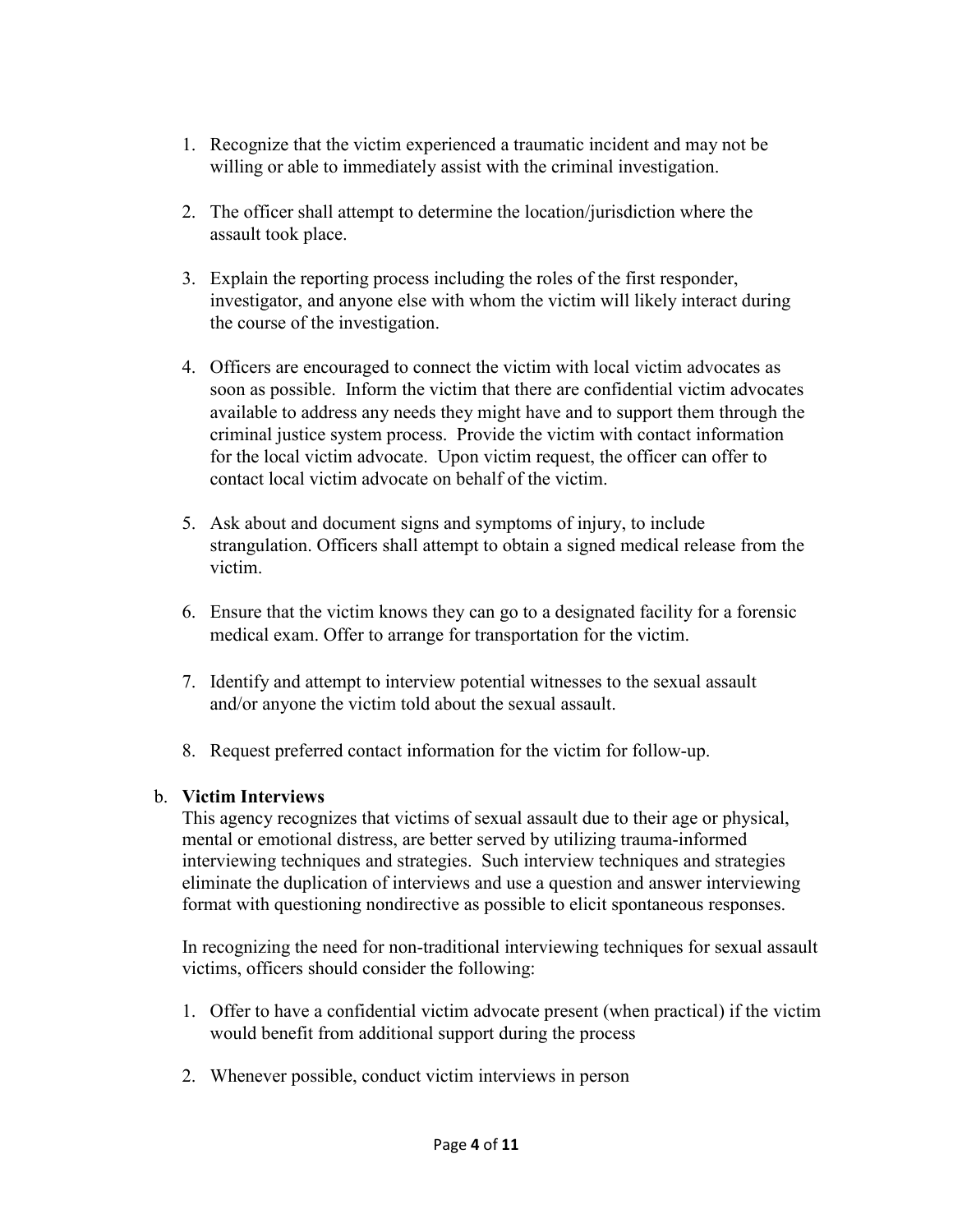- 1. Recognize that the victim experienced a traumatic incident and may not be willing or able to immediately assist with the criminal investigation.
- 2. The officer shall attempt to determine the location/jurisdiction where the assault took place.
- 3. Explain the reporting process including the roles of the first responder, investigator, and anyone else with whom the victim will likely interact during the course of the investigation.
- 4. Officers are encouraged to connect the victim with local victim advocates as soon as possible. Inform the victim that there are confidential victim advocates available to address any needs they might have and to support them through the criminal justice system process. Provide the victim with contact information for the local victim advocate. Upon victim request, the officer can offer to contact local victim advocate on behalf of the victim.
- 5. Ask about and document signs and symptoms of injury, to include strangulation. Officers shall attempt to obtain a signed medical release from the victim.
- 6. Ensure that the victim knows they can go to a designated facility for a forensic medical exam. Offer to arrange for transportation for the victim.
- 7. Identify and attempt to interview potential witnesses to the sexual assault and/or anyone the victim told about the sexual assault.
- 8. Request preferred contact information for the victim for follow-up.

### b. **Victim Interviews**

This agency recognizes that victims of sexual assault due to their age or physical, mental or emotional distress, are better served by utilizing trauma-informed interviewing techniques and strategies. Such interview techniques and strategies eliminate the duplication of interviews and use a question and answer interviewing format with questioning nondirective as possible to elicit spontaneous responses.

In recognizing the need for non-traditional interviewing techniques for sexual assault victims, officers should consider the following:

- 1. Offer to have a confidential victim advocate present (when practical) if the victim would benefit from additional support during the process
- 2. Whenever possible, conduct victim interviews in person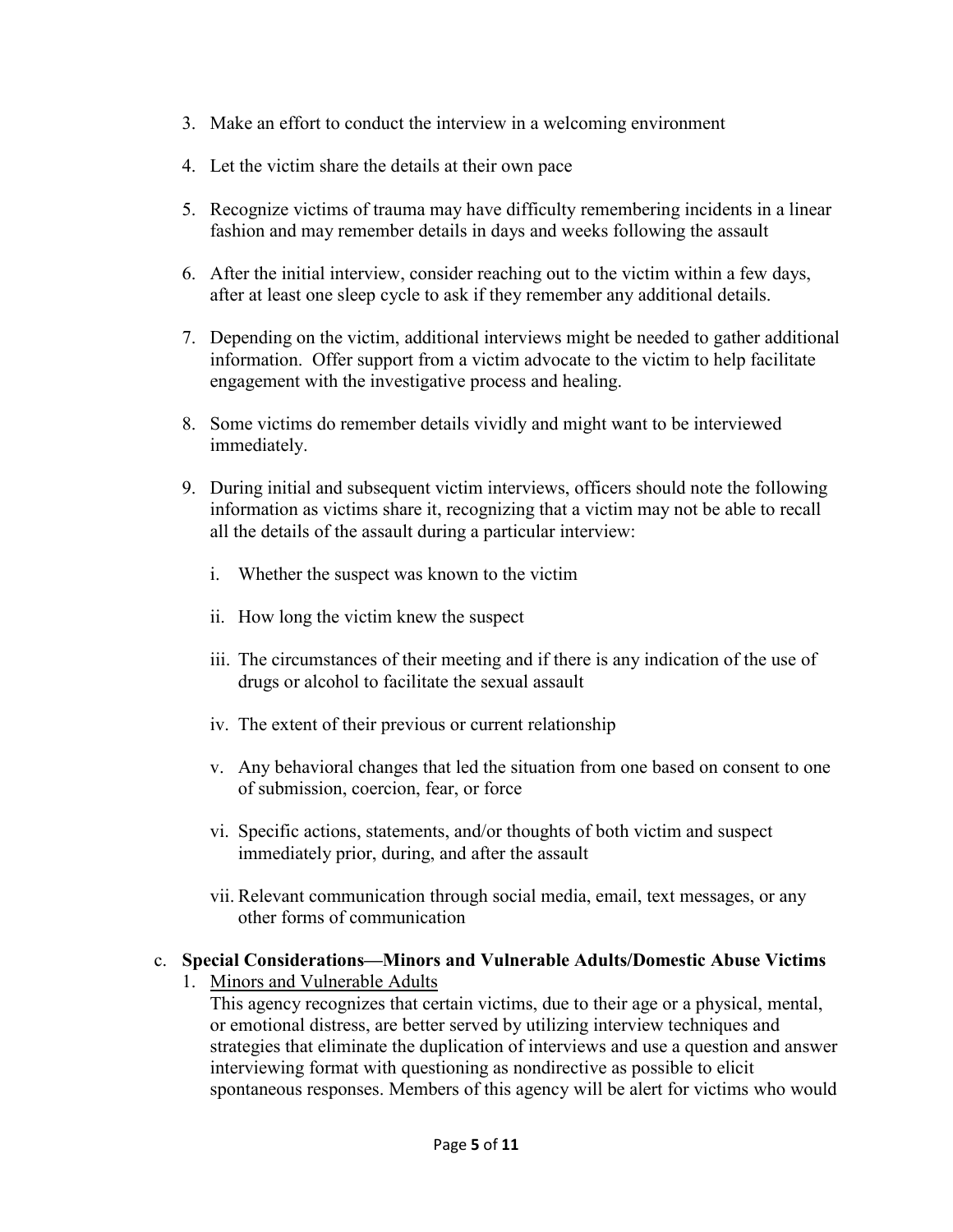- 3. Make an effort to conduct the interview in a welcoming environment
- 4. Let the victim share the details at their own pace
- 5. Recognize victims of trauma may have difficulty remembering incidents in a linear fashion and may remember details in days and weeks following the assault
- 6. After the initial interview, consider reaching out to the victim within a few days, after at least one sleep cycle to ask if they remember any additional details.
- 7. Depending on the victim, additional interviews might be needed to gather additional information. Offer support from a victim advocate to the victim to help facilitate engagement with the investigative process and healing.
- 8. Some victims do remember details vividly and might want to be interviewed immediately.
- 9. During initial and subsequent victim interviews, officers should note the following information as victims share it, recognizing that a victim may not be able to recall all the details of the assault during a particular interview:
	- i. Whether the suspect was known to the victim
	- ii. How long the victim knew the suspect
	- iii. The circumstances of their meeting and if there is any indication of the use of drugs or alcohol to facilitate the sexual assault
	- iv. The extent of their previous or current relationship
	- v. Any behavioral changes that led the situation from one based on consent to one of submission, coercion, fear, or force
	- vi. Specific actions, statements, and/or thoughts of both victim and suspect immediately prior, during, and after the assault
	- vii. Relevant communication through social media, email, text messages, or any other forms of communication

## c. **Special Considerations—Minors and Vulnerable Adults/Domestic Abuse Victims**

1. Minors and Vulnerable Adults

This agency recognizes that certain victims, due to their age or a physical, mental, or emotional distress, are better served by utilizing interview techniques and strategies that eliminate the duplication of interviews and use a question and answer interviewing format with questioning as nondirective as possible to elicit spontaneous responses. Members of this agency will be alert for victims who would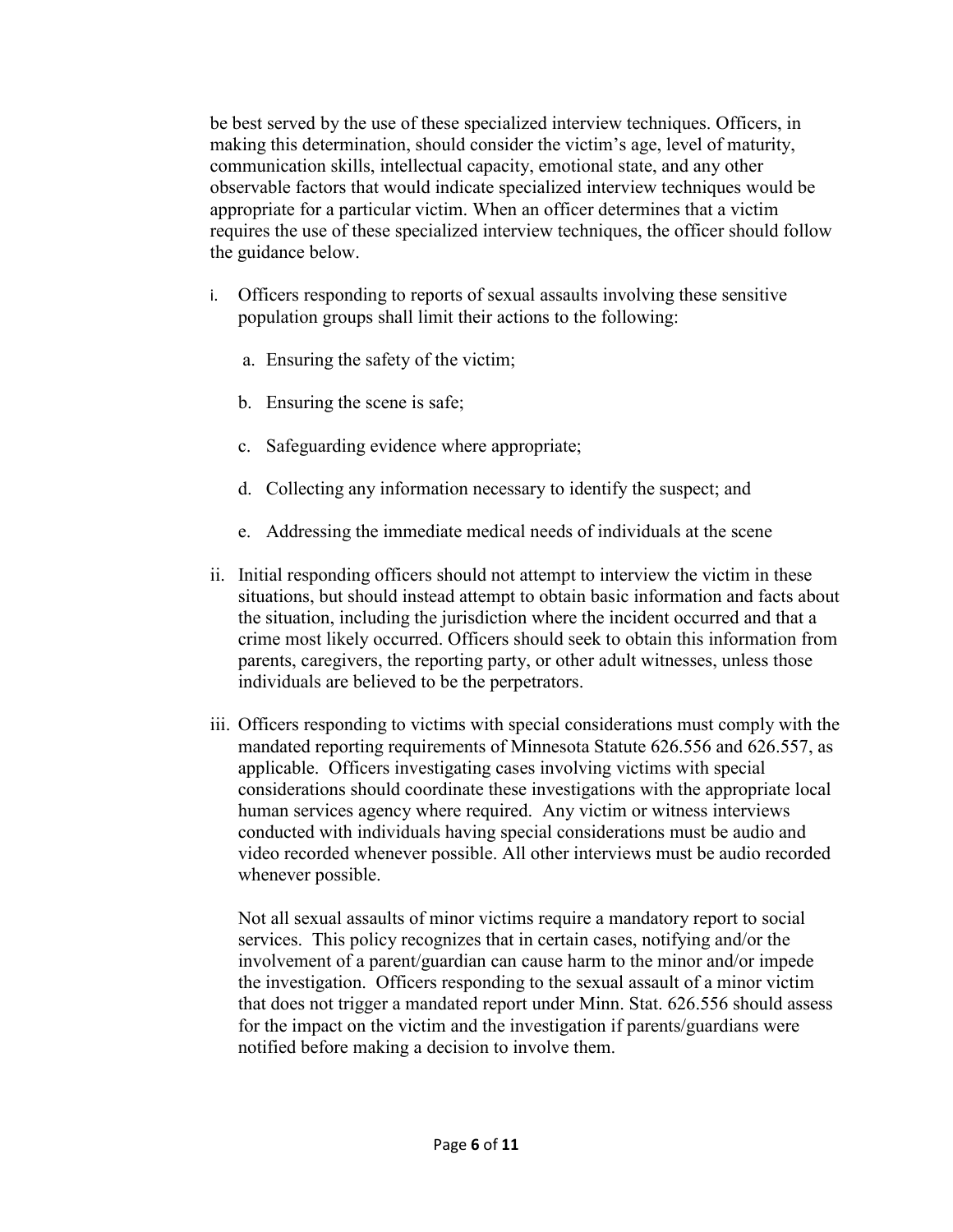be best served by the use of these specialized interview techniques. Officers, in making this determination, should consider the victim's age, level of maturity, communication skills, intellectual capacity, emotional state, and any other observable factors that would indicate specialized interview techniques would be appropriate for a particular victim. When an officer determines that a victim requires the use of these specialized interview techniques, the officer should follow the guidance below.

- i. Officers responding to reports of sexual assaults involving these sensitive population groups shall limit their actions to the following:
	- a. Ensuring the safety of the victim;
	- b. Ensuring the scene is safe;
	- c. Safeguarding evidence where appropriate;
	- d. Collecting any information necessary to identify the suspect; and
	- e. Addressing the immediate medical needs of individuals at the scene
- ii. Initial responding officers should not attempt to interview the victim in these situations, but should instead attempt to obtain basic information and facts about the situation, including the jurisdiction where the incident occurred and that a crime most likely occurred. Officers should seek to obtain this information from parents, caregivers, the reporting party, or other adult witnesses, unless those individuals are believed to be the perpetrators.
- iii. Officers responding to victims with special considerations must comply with the mandated reporting requirements of Minnesota Statute 626.556 and 626.557, as applicable. Officers investigating cases involving victims with special considerations should coordinate these investigations with the appropriate local human services agency where required. Any victim or witness interviews conducted with individuals having special considerations must be audio and video recorded whenever possible. All other interviews must be audio recorded whenever possible.

Not all sexual assaults of minor victims require a mandatory report to social services. This policy recognizes that in certain cases, notifying and/or the involvement of a parent/guardian can cause harm to the minor and/or impede the investigation. Officers responding to the sexual assault of a minor victim that does not trigger a mandated report under Minn. Stat. 626.556 should assess for the impact on the victim and the investigation if parents/guardians were notified before making a decision to involve them.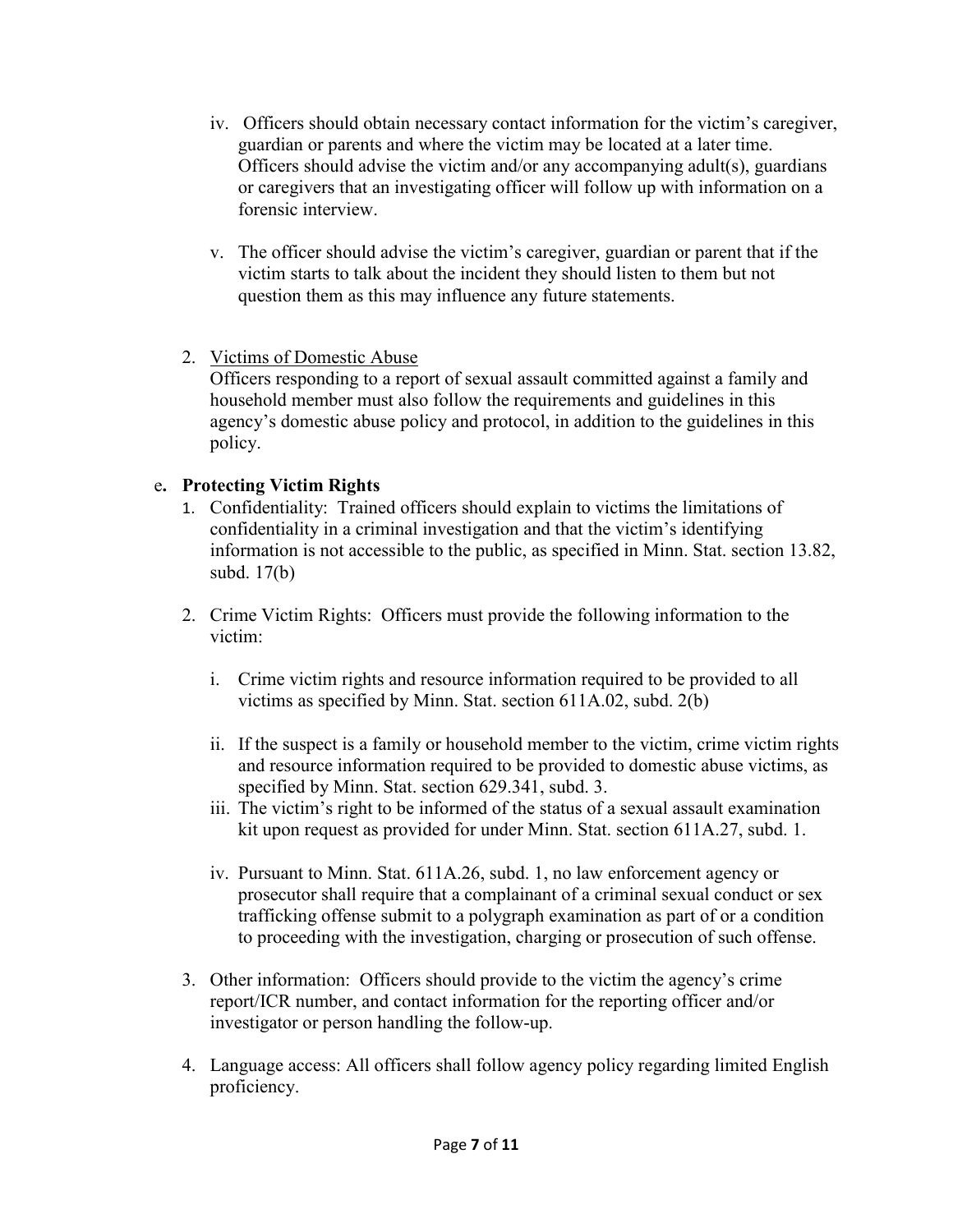- iv. Officers should obtain necessary contact information for the victim's caregiver, guardian or parents and where the victim may be located at a later time. Officers should advise the victim and/or any accompanying adult(s), guardians or caregivers that an investigating officer will follow up with information on a forensic interview.
- v. The officer should advise the victim's caregiver, guardian or parent that if the victim starts to talk about the incident they should listen to them but not question them as this may influence any future statements.
- 2. Victims of Domestic Abuse

Officers responding to a report of sexual assault committed against a family and household member must also follow the requirements and guidelines in this agency's domestic abuse policy and protocol, in addition to the guidelines in this policy.

## e**. Protecting Victim Rights**

- 1. Confidentiality: Trained officers should explain to victims the limitations of confidentiality in a criminal investigation and that the victim's identifying information is not accessible to the public, as specified in Minn. Stat. section 13.82, subd. 17(b)
- 2. Crime Victim Rights: Officers must provide the following information to the victim:
	- i. Crime victim rights and resource information required to be provided to all victims as specified by Minn. Stat. section 611A.02, subd. 2(b)
	- ii. If the suspect is a family or household member to the victim, crime victim rights and resource information required to be provided to domestic abuse victims, as specified by Minn. Stat. section 629.341, subd. 3.
	- iii. The victim's right to be informed of the status of a sexual assault examination kit upon request as provided for under Minn. Stat. section 611A.27, subd. 1.
	- iv. Pursuant to Minn. Stat. 611A.26, subd. 1, no law enforcement agency or prosecutor shall require that a complainant of a criminal sexual conduct or sex trafficking offense submit to a polygraph examination as part of or a condition to proceeding with the investigation, charging or prosecution of such offense.
- 3. Other information: Officers should provide to the victim the agency's crime report/ICR number, and contact information for the reporting officer and/or investigator or person handling the follow-up.
- 4. Language access: All officers shall follow agency policy regarding limited English proficiency.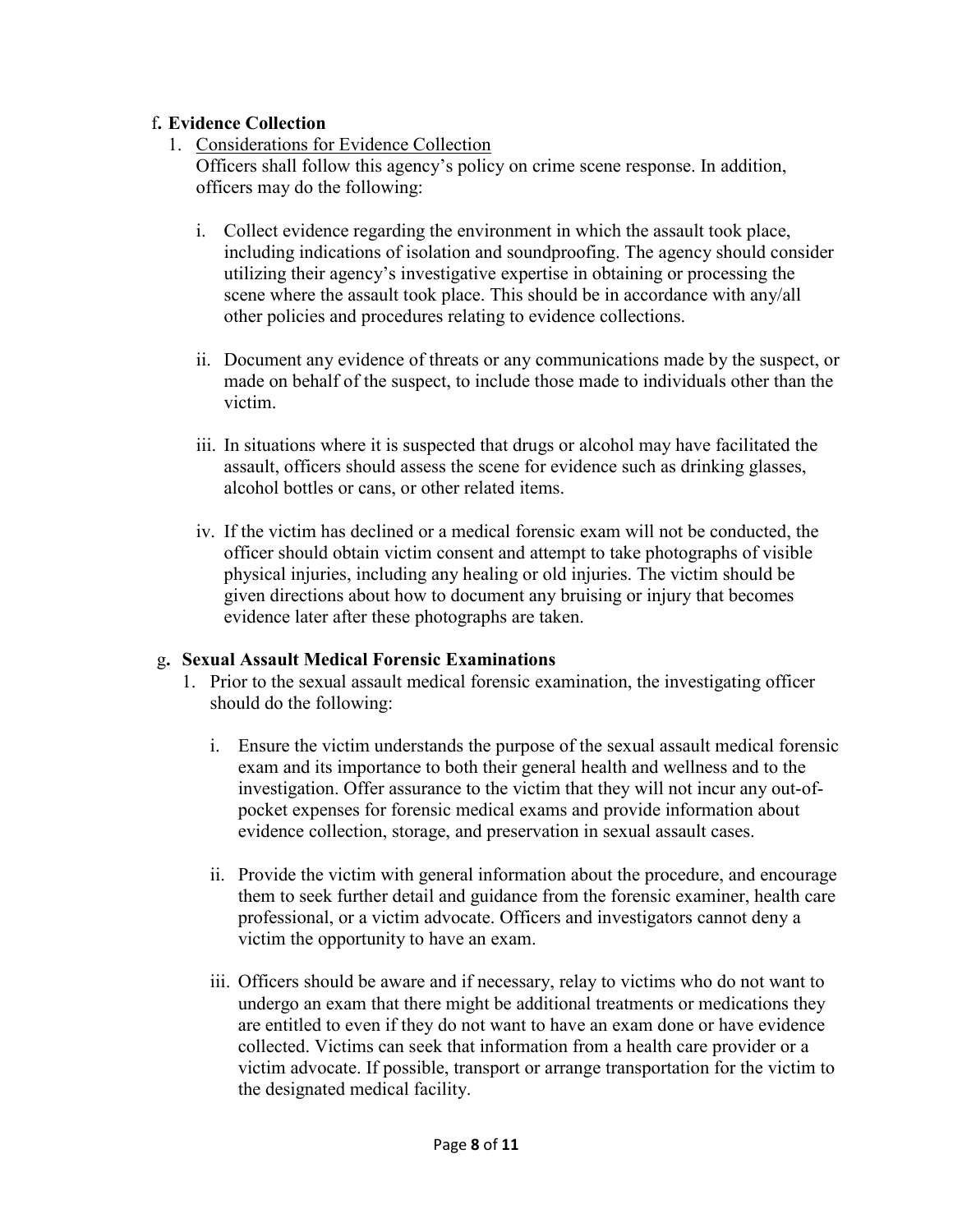## f**. Evidence Collection**

1. Considerations for Evidence Collection

Officers shall follow this agency's policy on crime scene response. In addition, officers may do the following:

- i. Collect evidence regarding the environment in which the assault took place, including indications of isolation and soundproofing. The agency should consider utilizing their agency's investigative expertise in obtaining or processing the scene where the assault took place. This should be in accordance with any/all other policies and procedures relating to evidence collections.
- ii. Document any evidence of threats or any communications made by the suspect, or made on behalf of the suspect, to include those made to individuals other than the victim.
- iii. In situations where it is suspected that drugs or alcohol may have facilitated the assault, officers should assess the scene for evidence such as drinking glasses, alcohol bottles or cans, or other related items.
- iv. If the victim has declined or a medical forensic exam will not be conducted, the officer should obtain victim consent and attempt to take photographs of visible physical injuries, including any healing or old injuries. The victim should be given directions about how to document any bruising or injury that becomes evidence later after these photographs are taken.

# g**. Sexual Assault Medical Forensic Examinations**

- 1. Prior to the sexual assault medical forensic examination, the investigating officer should do the following:
	- i. Ensure the victim understands the purpose of the sexual assault medical forensic exam and its importance to both their general health and wellness and to the investigation. Offer assurance to the victim that they will not incur any out-ofpocket expenses for forensic medical exams and provide information about evidence collection, storage, and preservation in sexual assault cases.
	- ii. Provide the victim with general information about the procedure, and encourage them to seek further detail and guidance from the forensic examiner, health care professional, or a victim advocate. Officers and investigators cannot deny a victim the opportunity to have an exam.
	- iii. Officers should be aware and if necessary, relay to victims who do not want to undergo an exam that there might be additional treatments or medications they are entitled to even if they do not want to have an exam done or have evidence collected. Victims can seek that information from a health care provider or a victim advocate. If possible, transport or arrange transportation for the victim to the designated medical facility.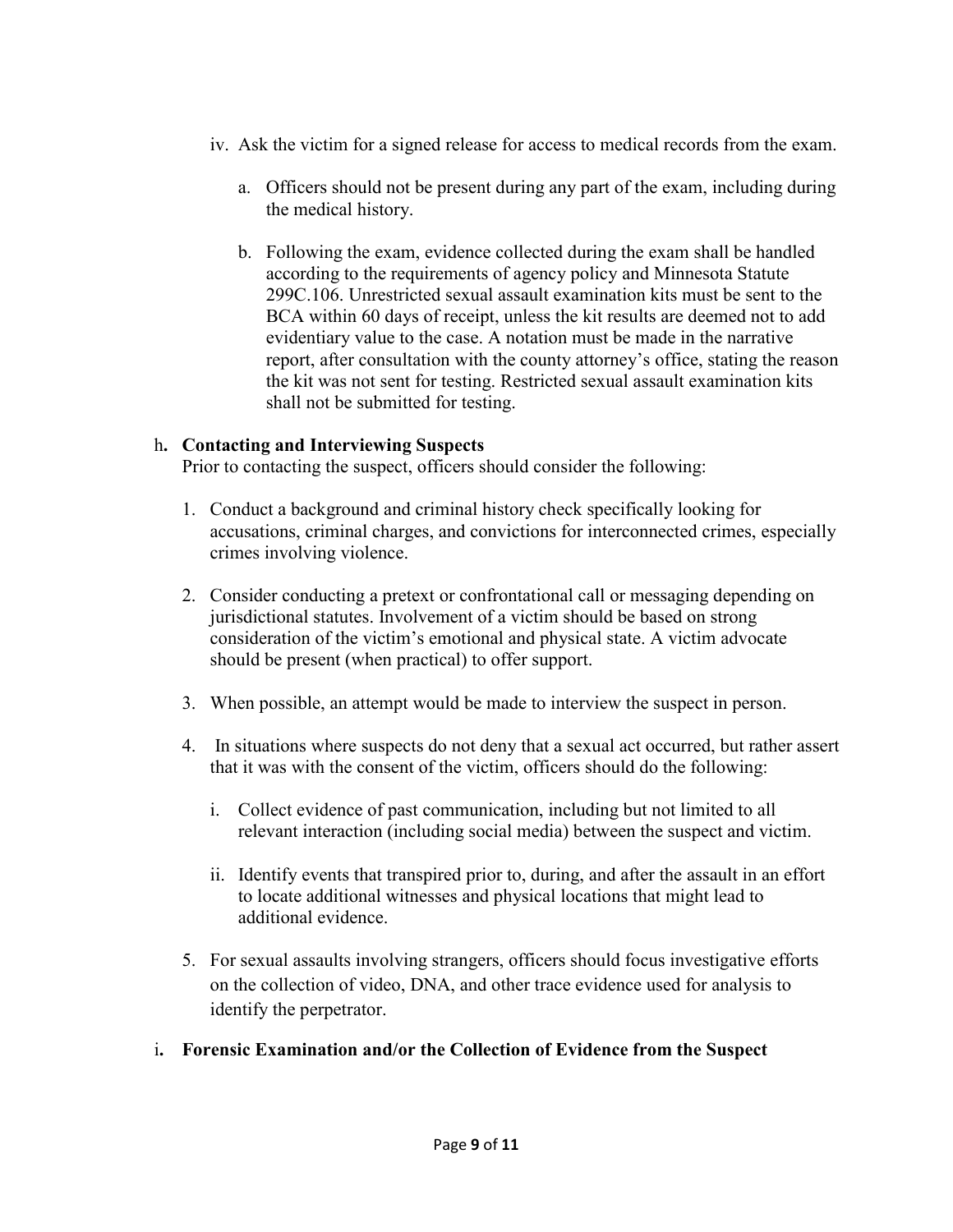- iv. Ask the victim for a signed release for access to medical records from the exam.
	- a. Officers should not be present during any part of the exam, including during the medical history.
	- b. Following the exam, evidence collected during the exam shall be handled according to the requirements of agency policy and Minnesota Statute 299C.106. Unrestricted sexual assault examination kits must be sent to the BCA within 60 days of receipt, unless the kit results are deemed not to add evidentiary value to the case. A notation must be made in the narrative report, after consultation with the county attorney's office, stating the reason the kit was not sent for testing. Restricted sexual assault examination kits shall not be submitted for testing.

### h**. Contacting and Interviewing Suspects**

Prior to contacting the suspect, officers should consider the following:

- 1. Conduct a background and criminal history check specifically looking for accusations, criminal charges, and convictions for interconnected crimes, especially crimes involving violence.
- 2. Consider conducting a pretext or confrontational call or messaging depending on jurisdictional statutes. Involvement of a victim should be based on strong consideration of the victim's emotional and physical state. A victim advocate should be present (when practical) to offer support.
- 3. When possible, an attempt would be made to interview the suspect in person.
- 4. In situations where suspects do not deny that a sexual act occurred, but rather assert that it was with the consent of the victim, officers should do the following:
	- i. Collect evidence of past communication, including but not limited to all relevant interaction (including social media) between the suspect and victim.
	- ii. Identify events that transpired prior to, during, and after the assault in an effort to locate additional witnesses and physical locations that might lead to additional evidence.
- 5. For sexual assaults involving strangers, officers should focus investigative efforts on the collection of video, DNA, and other trace evidence used for analysis to identify the perpetrator.
- i**. Forensic Examination and/or the Collection of Evidence from the Suspect**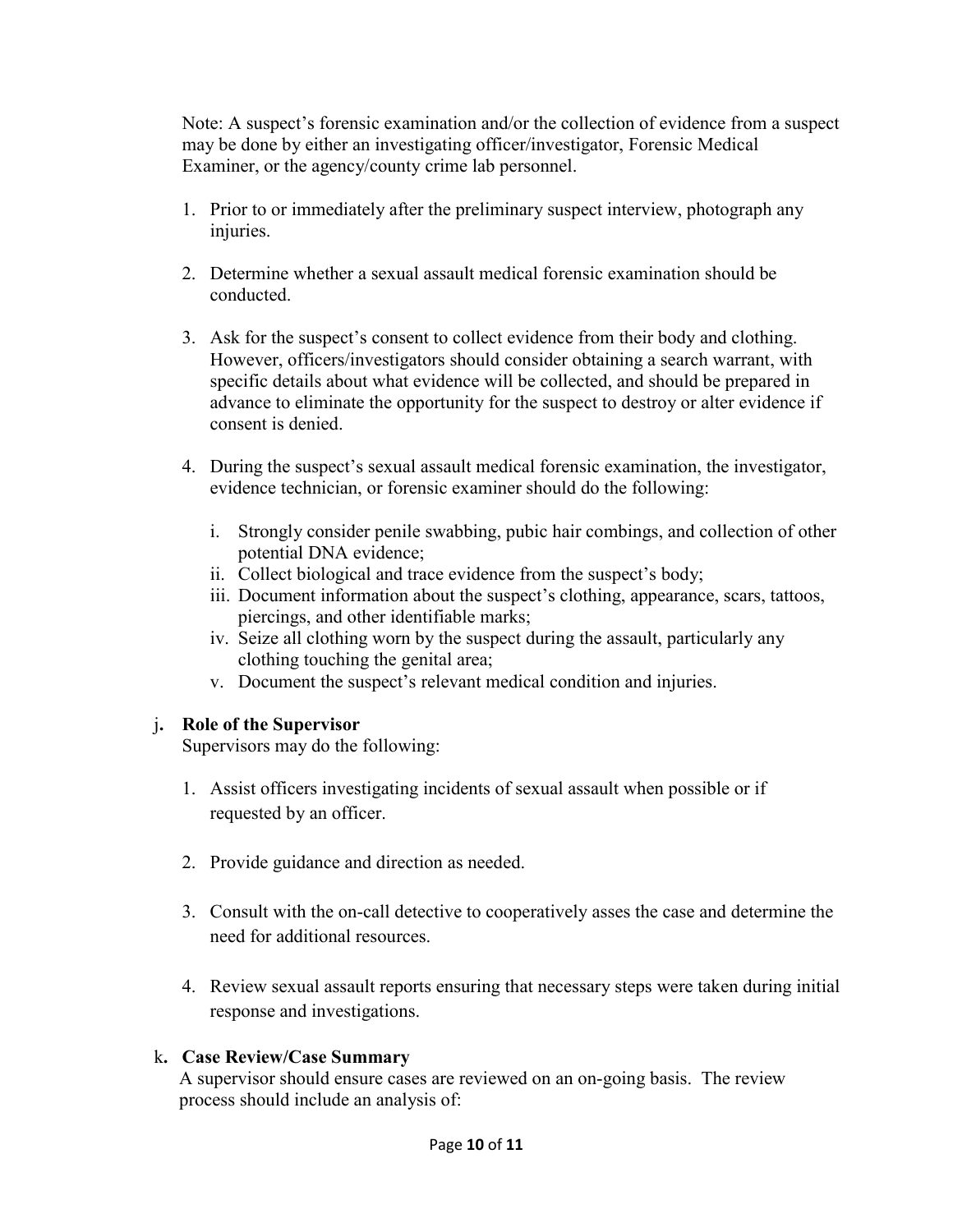Note: A suspect's forensic examination and/or the collection of evidence from a suspect may be done by either an investigating officer/investigator, Forensic Medical Examiner, or the agency/county crime lab personnel.

- 1. Prior to or immediately after the preliminary suspect interview, photograph any injuries.
- 2. Determine whether a sexual assault medical forensic examination should be conducted.
- 3. Ask for the suspect's consent to collect evidence from their body and clothing. However, officers/investigators should consider obtaining a search warrant, with specific details about what evidence will be collected, and should be prepared in advance to eliminate the opportunity for the suspect to destroy or alter evidence if consent is denied.
- 4. During the suspect's sexual assault medical forensic examination, the investigator, evidence technician, or forensic examiner should do the following:
	- i. Strongly consider penile swabbing, pubic hair combings, and collection of other potential DNA evidence;
	- ii. Collect biological and trace evidence from the suspect's body;
	- iii. Document information about the suspect's clothing, appearance, scars, tattoos, piercings, and other identifiable marks;
	- iv. Seize all clothing worn by the suspect during the assault, particularly any clothing touching the genital area;
	- v. Document the suspect's relevant medical condition and injuries.

# j**. Role of the Supervisor**

Supervisors may do the following:

- 1. Assist officers investigating incidents of sexual assault when possible or if requested by an officer.
- 2. Provide guidance and direction as needed.
- 3. Consult with the on-call detective to cooperatively asses the case and determine the need for additional resources.
- 4. Review sexual assault reports ensuring that necessary steps were taken during initial response and investigations.

### k**. Case Review/Case Summary**

A supervisor should ensure cases are reviewed on an on-going basis. The review process should include an analysis of: